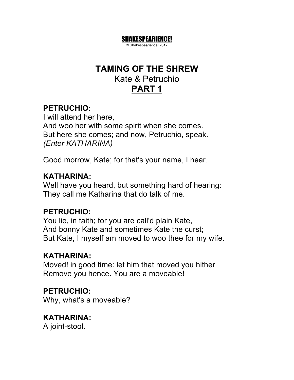# **TAMING OF THE SHREW** Kate & Petruchio **PART 1**

SHAKESPEARIENCE! © Shakespearience! 2017

# **PETRUCHIO:**

I will attend her here, And woo her with some spirit when she comes. But here she comes; and now, Petruchio, speak. *(Enter KATHARINA)*

Good morrow, Kate; for that's your name, I hear.

# **KATHARINA:**

Well have you heard, but something hard of hearing: They call me Katharina that do talk of me.

# **PETRUCHIO:**

You lie, in faith; for you are call'd plain Kate, And bonny Kate and sometimes Kate the curst; But Kate, I myself am moved to woo thee for my wife.

# **KATHARINA:**

Moved! in good time: let him that moved you hither Remove you hence. You are a moveable!

# **PETRUCHIO:**

Why, what's a moveable?

# **KATHARINA:**

A joint-stool.